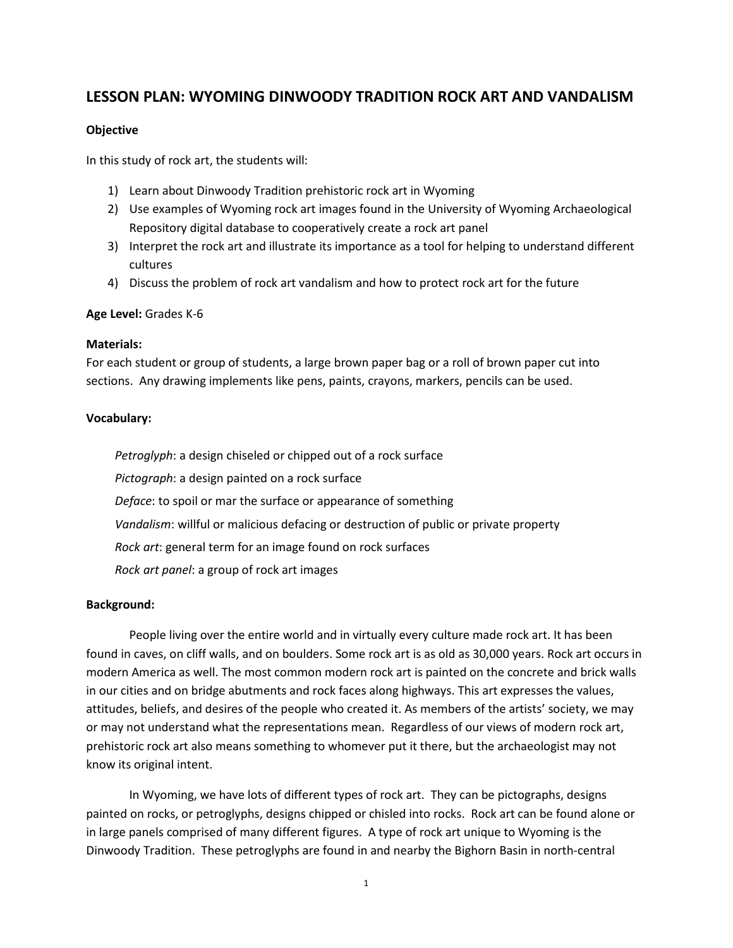# **LESSON PLAN: WYOMING DINWOODY TRADITION ROCK ART AND VANDALISM**

#### **Objective**

In this study of rock art, the students will:

- 1) Learn about Dinwoody Tradition prehistoric rock art in Wyoming
- 2) Use examples of Wyoming rock art images found in the University of Wyoming Archaeological Repository digital database to cooperatively create a rock art panel
- 3) Interpret the rock art and illustrate its importance as a tool for helping to understand different cultures
- 4) Discuss the problem of rock art vandalism and how to protect rock art for the future

#### **Age Level:** Grades K-6

#### **Materials:**

For each student or group of students, a large brown paper bag or a roll of brown paper cut into sections. Any drawing implements like pens, paints, crayons, markers, pencils can be used.

# **Vocabulary:**

*Petroglyph*: a design chiseled or chipped out of a rock surface *Pictograph*: a design painted on a rock surface *Deface*: to spoil or mar the surface or appearance of something *Vandalism*: willful or malicious defacing or destruction of public or private property *Rock art*: general term for an image found on rock surfaces *Rock art panel*: a group of rock art images

# **Background:**

People living over the entire world and in virtually every culture made rock art. It has been found in caves, on cliff walls, and on boulders. Some rock art is as old as 30,000 years. Rock art occurs in modern America as well. The most common modern rock art is painted on the concrete and brick walls in our cities and on bridge abutments and rock faces along highways. This art expresses the values, attitudes, beliefs, and desires of the people who created it. As members of the artists' society, we may or may not understand what the representations mean. Regardless of our views of modern rock art, prehistoric rock art also means something to whomever put it there, but the archaeologist may not know its original intent.

In Wyoming, we have lots of different types of rock art. They can be pictographs, designs painted on rocks, or petroglyphs, designs chipped or chisled into rocks. Rock art can be found alone or in large panels comprised of many different figures. A type of rock art unique to Wyoming is the Dinwoody Tradition. These petroglyphs are found in and nearby the Bighorn Basin in north-central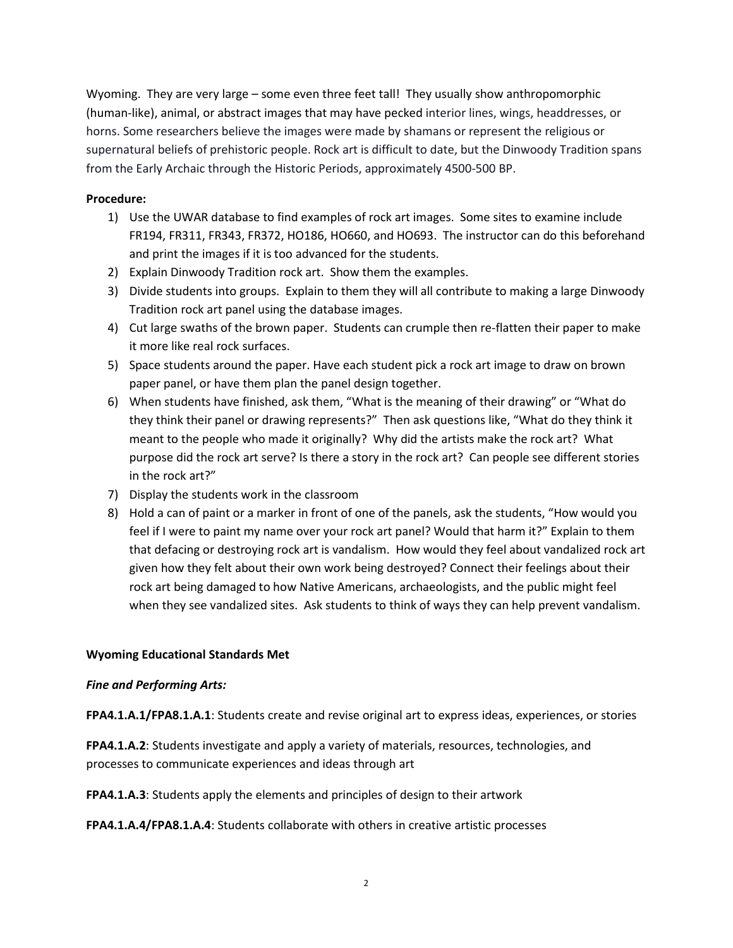Wyoming. They are very large – some even three feet tall! They usually show anthropomorphic (human-like), animal, or abstract images that may have pecked interior lines, wings, headdresses, or horns. Some researchers believe the images were made by shamans or represent the religious or supernatural beliefs of prehistoric people. Rock art is difficult to date, but the Dinwoody Tradition spans from the Early Archaic through the Historic Periods, approximately 4500-500 BP.

# **Procedure:**

- 1) Use the UWAR database to find examples of rock art images. Some sites to examine include FR194, FR311, FR343, FR372, HO186, HO660, and HO693. The instructor can do this beforehand and print the images if it is too advanced for the students.
- 2) Explain Dinwoody Tradition rock art. Show them the examples.
- 3) Divide students into groups. Explain to them they will all contribute to making a large Dinwoody Tradition rock art panel using the database images.
- 4) Cut large swaths of the brown paper. Students can crumple then re-flatten their paper to make it more like real rock surfaces.
- 5) Space students around the paper. Have each student pick a rock art image to draw on brown paper panel, or have them plan the panel design together.
- 6) When students have finished, ask them, "What is the meaning of their drawing" or "What do they think their panel or drawing represents?" Then ask questions like, "What do they think it meant to the people who made it originally? Why did the artists make the rock art? What purpose did the rock art serve? Is there a story in the rock art? Can people see different stories in the rock art?"
- 7) Display the students work in the classroom
- 8) Hold a can of paint or a marker in front of one of the panels, ask the students, "How would you feel if I were to paint my name over your rock art panel? Would that harm it?" Explain to them that defacing or destroying rock art is vandalism. How would they feel about vandalized rock art given how they felt about their own work being destroyed? Connect their feelings about their rock art being damaged to how Native Americans, archaeologists, and the public might feel when they see vandalized sites. Ask students to think of ways they can help prevent vandalism.

# **Wyoming Educational Standards Met**

# *Fine and Performing Arts:*

**FPA4.1.A.1/FPA8.1.A.1**: Students create and revise original art to express ideas, experiences, or stories

**FPA4.1.A.2**: Students investigate and apply a variety of materials, resources, technologies, and processes to communicate experiences and ideas through art

**FPA4.1.A.3**: Students apply the elements and principles of design to their artwork

**FPA4.1.A.4/FPA8.1.A.4**: Students collaborate with others in creative artistic processes